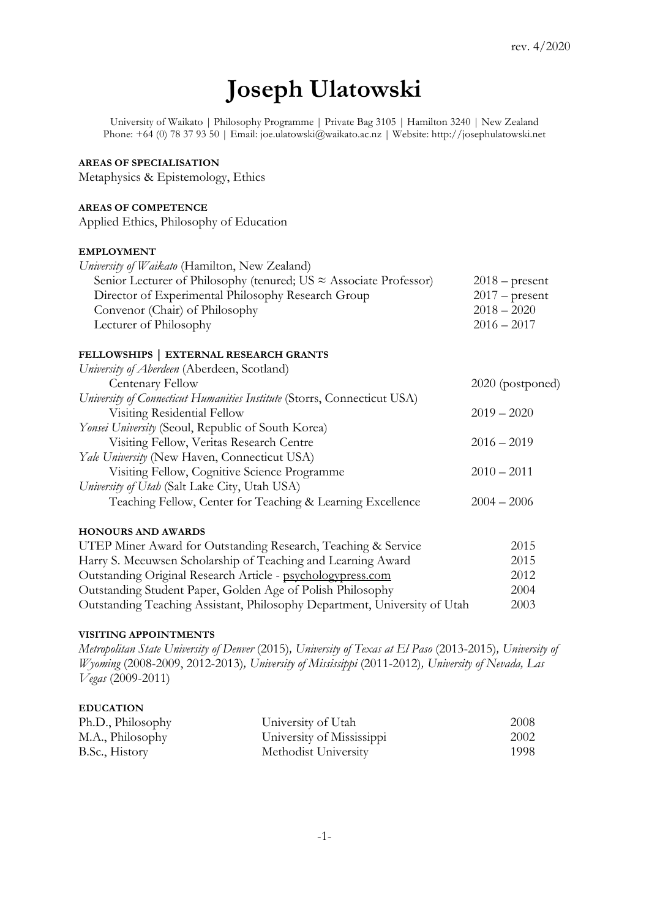# **Joseph Ulatowski**

University of Waikato | Philosophy Programme | Private Bag 3105 | Hamilton 3240 | New Zealand Phone: +64 (0) 78 37 93 50 | Email: joe.ulatowski@waikato.ac.nz | Website: http://josephulatowski.net

# **AREAS OF SPECIALISATION**

Metaphysics & Epistemology, Ethics

## **AREAS OF COMPETENCE**

Applied Ethics, Philosophy of Education

## **EMPLOYMENT**

| University of Waikato (Hamilton, New Zealand)                             |                  |
|---------------------------------------------------------------------------|------------------|
| Senior Lecturer of Philosophy (tenured; US $\approx$ Associate Professor) | $2018$ – present |
| Director of Experimental Philosophy Research Group                        | $2017$ – present |
| Convenor (Chair) of Philosophy                                            | $2018 - 2020$    |
| Lecturer of Philosophy                                                    | $2016 - 2017$    |
|                                                                           |                  |

# **FELLOWSHIPS | EXTERNAL RESEARCH GRANTS**

| University of Aberdeen (Aberdeen, Scotland)                              |                  |
|--------------------------------------------------------------------------|------------------|
| Centenary Fellow                                                         | 2020 (postponed) |
| University of Connecticut Humanities Institute (Storrs, Connecticut USA) |                  |
| Visiting Residential Fellow                                              | $2019 - 2020$    |
| <i>Yonsei University</i> (Seoul, Republic of South Korea)                |                  |
| Visiting Fellow, Veritas Research Centre                                 | $2016 - 2019$    |
| Yale University (New Haven, Connecticut USA)                             |                  |
| Visiting Fellow, Cognitive Science Programme                             | $2010 - 2011$    |
| University of Utah (Salt Lake City, Utah USA)                            |                  |
| Teaching Fellow, Center for Teaching & Learning Excellence               | $2004 - 2006$    |
| <b>HONOURS AND AWARDS</b>                                                |                  |
| UTEP Miner Award for Outstanding Research, Teaching & Service            | 2015             |
| Harry S. Meeuwsen Scholarship of Teaching and Learning Award             | 2015             |
| Outstanding Original Research Article - psychologypress.com              | 2012             |
| Outstanding Student Paper, Golden Age of Polish Philosophy               | 2004             |

## **VISITING APPOINTMENTS**

*Metropolitan State University of Denver* (2015)*, University of Texas at El Paso* (2013-2015)*, University of Wyoming* (2008-2009, 2012-2013)*, University of Mississippi* (2011-2012)*, University of Nevada, Las Vegas* (2009-2011)

Outstanding Teaching Assistant, Philosophy Department, University of Utah 2003

# **EDUCATION**

| Ph.D., Philosophy | University of Utah        | 2008 |
|-------------------|---------------------------|------|
| M.A., Philosophy  | University of Mississippi | 2002 |
| B.Sc., History    | Methodist University      | 1998 |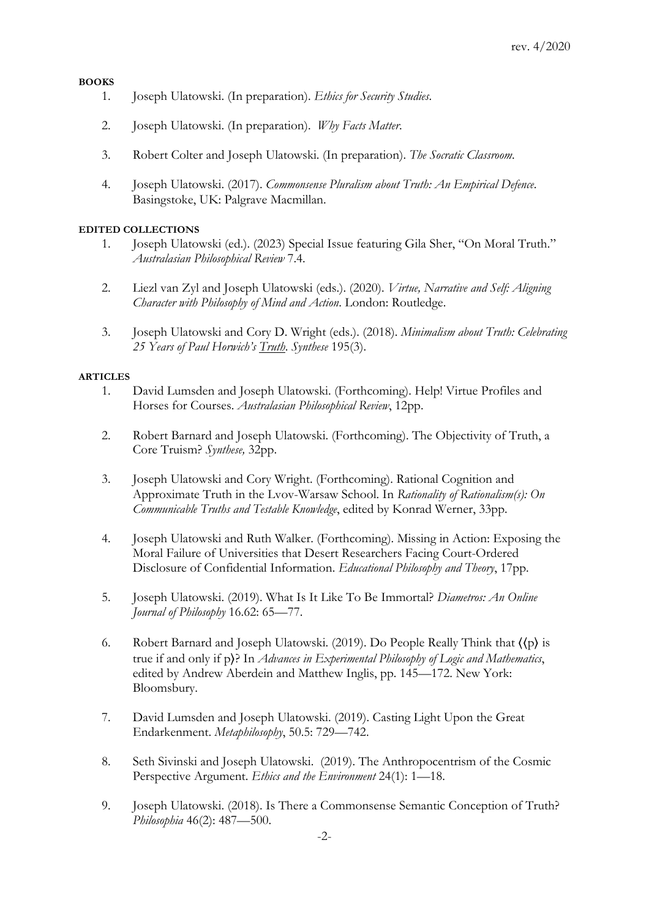# **BOOKS**

- 1. Joseph Ulatowski. (In preparation). *Ethics for Security Studies*.
- 2. Joseph Ulatowski. (In preparation). *Why Facts Matter*.
- 3. Robert Colter and Joseph Ulatowski. (In preparation). *The Socratic Classroom*.
- 4. Joseph Ulatowski. (2017). *Commonsense Pluralism about Truth: An Empirical Defence*. Basingstoke, UK: Palgrave Macmillan.

## **EDITED COLLECTIONS**

- 1. Joseph Ulatowski (ed.). (2023) Special Issue featuring Gila Sher, "On Moral Truth." *Australasian Philosophical Review* 7.4.
- 2. Liezl van Zyl and Joseph Ulatowski (eds.). (2020). *Virtue, Narrative and Self: Aligning Character with Philosophy of Mind and Action*. London: Routledge.
- 3. Joseph Ulatowski and Cory D. Wright (eds.). (2018). *Minimalism about Truth: Celebrating 25 Years of Paul Horwich's Truth*. *Synthese* 195(3).

### **ARTICLES**

- 1. David Lumsden and Joseph Ulatowski. (Forthcoming). Help! Virtue Profiles and Horses for Courses. *Australasian Philosophical Review*, 12pp.
- 2. Robert Barnard and Joseph Ulatowski. (Forthcoming). The Objectivity of Truth, a Core Truism? *Synthese,* 32pp.
- 3. Joseph Ulatowski and Cory Wright. (Forthcoming). Rational Cognition and Approximate Truth in the Lvov-Warsaw School. In *Rationality of Rationalism(s): On Communicable Truths and Testable Knowledge*, edited by Konrad Werner, 33pp.
- 4. Joseph Ulatowski and Ruth Walker. (Forthcoming). Missing in Action: Exposing the Moral Failure of Universities that Desert Researchers Facing Court-Ordered Disclosure of Confidential Information. *Educational Philosophy and Theory*, 17pp.
- 5. Joseph Ulatowski. (2019). What Is It Like To Be Immortal? *Diametros: An Online Journal of Philosophy* 16.62: 65—77.
- 6. Robert Barnard and Joseph Ulatowski. (2019). Do People Really Think that  $\langle \langle p \rangle$  is true if and only if p⟩? In *Advances in Experimental Philosophy of Logic and Mathematics*, edited by Andrew Aberdein and Matthew Inglis, pp. 145—172. New York: Bloomsbury.
- 7. David Lumsden and Joseph Ulatowski. (2019). Casting Light Upon the Great Endarkenment. *Metaphilosophy*, 50.5: 729—742.
- 8. Seth Sivinski and Joseph Ulatowski. (2019). The Anthropocentrism of the Cosmic Perspective Argument. *Ethics and the Environment* 24(1): 1—18.
- 9. Joseph Ulatowski. (2018). Is There a Commonsense Semantic Conception of Truth? *Philosophia* 46(2): 487—500.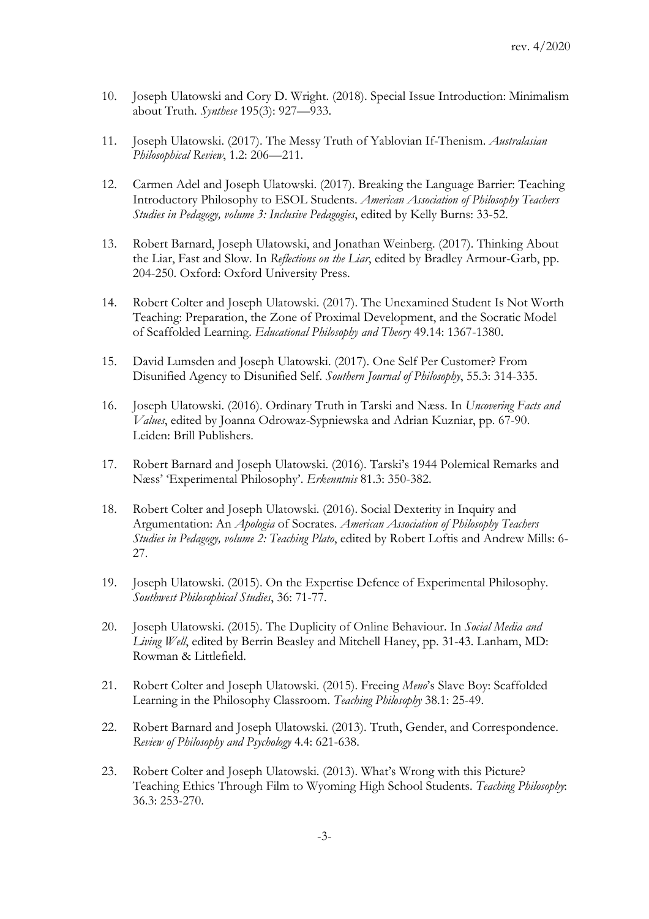- 10. Joseph Ulatowski and Cory D. Wright. (2018). Special Issue Introduction: Minimalism about Truth. *Synthese* 195(3): 927—933.
- 11. Joseph Ulatowski. (2017). The Messy Truth of Yablovian If-Thenism. *Australasian Philosophical Review*, 1.2: 206—211.
- 12. Carmen Adel and Joseph Ulatowski. (2017). Breaking the Language Barrier: Teaching Introductory Philosophy to ESOL Students. *American Association of Philosophy Teachers Studies in Pedagogy, volume 3: Inclusive Pedagogies*, edited by Kelly Burns: 33-52.
- 13. Robert Barnard, Joseph Ulatowski, and Jonathan Weinberg. (2017). Thinking About the Liar, Fast and Slow. In *Reflections on the Liar*, edited by Bradley Armour-Garb, pp. 204-250. Oxford: Oxford University Press.
- 14. Robert Colter and Joseph Ulatowski. (2017). The Unexamined Student Is Not Worth Teaching: Preparation, the Zone of Proximal Development, and the Socratic Model of Scaffolded Learning. *Educational Philosophy and Theory* 49.14: 1367-1380.
- 15. David Lumsden and Joseph Ulatowski. (2017). One Self Per Customer? From Disunified Agency to Disunified Self. *Southern Journal of Philosophy*, 55.3: 314-335.
- 16. Joseph Ulatowski. (2016). Ordinary Truth in Tarski and Næss. In *Uncovering Facts and Values*, edited by Joanna Odrowaz-Sypniewska and Adrian Kuzniar, pp. 67-90. Leiden: Brill Publishers.
- 17. Robert Barnard and Joseph Ulatowski. (2016). Tarski's 1944 Polemical Remarks and Næss' 'Experimental Philosophy'. *Erkenntnis* 81.3: 350-382.
- 18. Robert Colter and Joseph Ulatowski. (2016). Social Dexterity in Inquiry and Argumentation: An *Apologia* of Socrates. *American Association of Philosophy Teachers Studies in Pedagogy, volume 2: Teaching Plato*, edited by Robert Loftis and Andrew Mills: 6- 27.
- 19. Joseph Ulatowski. (2015). On the Expertise Defence of Experimental Philosophy. *Southwest Philosophical Studies*, 36: 71-77.
- 20. Joseph Ulatowski. (2015). The Duplicity of Online Behaviour. In *Social Media and Living Well*, edited by Berrin Beasley and Mitchell Haney, pp. 31-43. Lanham, MD: Rowman & Littlefield.
- 21. Robert Colter and Joseph Ulatowski. (2015). Freeing *Meno*'s Slave Boy: Scaffolded Learning in the Philosophy Classroom. *Teaching Philosophy* 38.1: 25-49.
- 22. Robert Barnard and Joseph Ulatowski. (2013). Truth, Gender, and Correspondence. *Review of Philosophy and Psychology* 4.4: 621-638.
- 23. Robert Colter and Joseph Ulatowski. (2013). What's Wrong with this Picture? Teaching Ethics Through Film to Wyoming High School Students. *Teaching Philosophy*: 36.3: 253-270.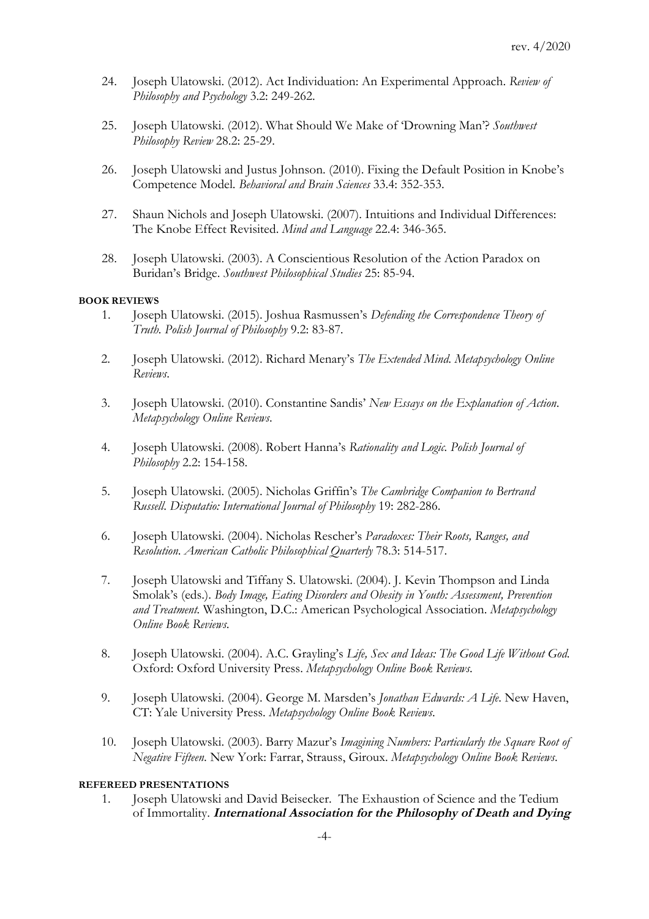- 24. Joseph Ulatowski. (2012). Act Individuation: An Experimental Approach. *Review of Philosophy and Psychology* 3.2: 249-262.
- 25. Joseph Ulatowski. (2012). What Should We Make of 'Drowning Man'? *Southwest Philosophy Review* 28.2: 25-29.
- 26. Joseph Ulatowski and Justus Johnson. (2010). Fixing the Default Position in Knobe's Competence Model. *Behavioral and Brain Sciences* 33.4: 352-353.
- 27. Shaun Nichols and Joseph Ulatowski. (2007). Intuitions and Individual Differences: The Knobe Effect Revisited. *Mind and Language* 22.4: 346-365.
- 28. Joseph Ulatowski. (2003). A Conscientious Resolution of the Action Paradox on Buridan's Bridge. *Southwest Philosophical Studies* 25: 85-94.

## **BOOK REVIEWS**

- 1. Joseph Ulatowski. (2015). Joshua Rasmussen's *Defending the Correspondence Theory of Truth. Polish Journal of Philosophy* 9.2: 83-87*.*
- 2. Joseph Ulatowski. (2012). Richard Menary's *The Extended Mind*. *Metapsychology Online Reviews*.
- 3. Joseph Ulatowski. (2010). Constantine Sandis' *New Essays on the Explanation of Action*. *Metapsychology Online Reviews*.
- 4. Joseph Ulatowski. (2008). Robert Hanna's *Rationality and Logic. Polish Journal of Philosophy* 2.2: 154-158.
- 5. Joseph Ulatowski. (2005). Nicholas Griffin's *The Cambridge Companion to Bertrand Russell*. *Disputatio: International Journal of Philosophy* 19: 282-286.
- 6. Joseph Ulatowski. (2004). Nicholas Rescher's *Paradoxes: Their Roots, Ranges, and Resolution*. *American Catholic Philosophical Quarterly* 78.3: 514-517.
- 7. Joseph Ulatowski and Tiffany S. Ulatowski. (2004). J. Kevin Thompson and Linda Smolak's (eds.). *Body Image, Eating Disorders and Obesity in Youth: Assessment, Prevention and Treatment.* Washington, D.C.: American Psychological Association. *Metapsychology Online Book Reviews*.
- 8. Joseph Ulatowski. (2004). A.C. Grayling's *Life, Sex and Ideas: The Good Life Without God*. Oxford: Oxford University Press. *Metapsychology Online Book Reviews*.
- 9. Joseph Ulatowski. (2004). George M. Marsden's *Jonathan Edwards: A Life*. New Haven, CT: Yale University Press. *Metapsychology Online Book Reviews*.
- 10. Joseph Ulatowski. (2003). Barry Mazur's *Imagining Numbers: Particularly the Square Root of Negative Fifteen*. New York: Farrar, Strauss, Giroux. *Metapsychology Online Book Reviews*.

### **REFEREED PRESENTATIONS**

1. Joseph Ulatowski and David Beisecker. The Exhaustion of Science and the Tedium of Immortality. **International Association for the Philosophy of Death and Dying**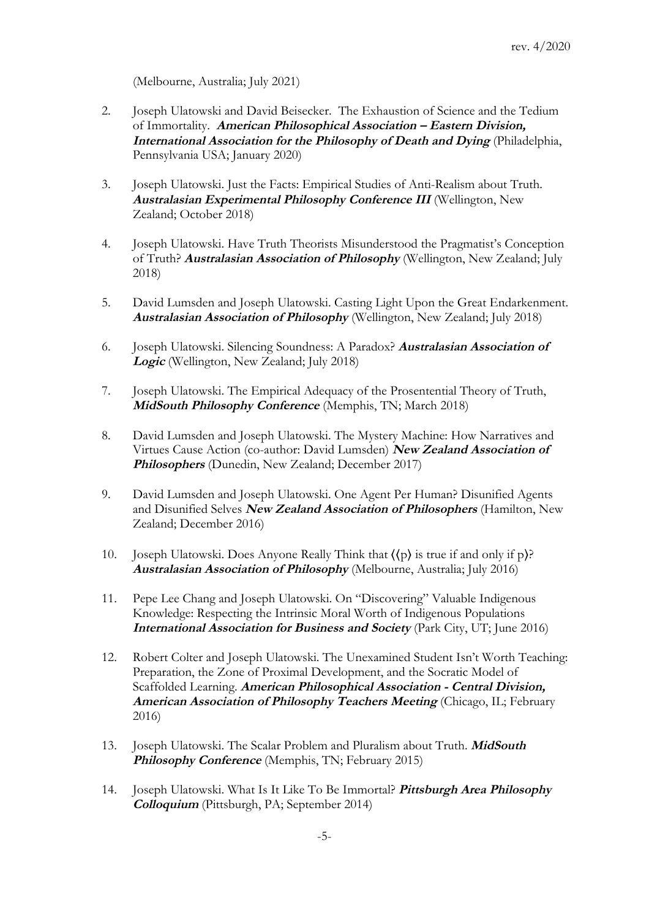(Melbourne, Australia; July 2021)

- 2. Joseph Ulatowski and David Beisecker. The Exhaustion of Science and the Tedium of Immortality. **American Philosophical Association – Eastern Division, International Association for the Philosophy of Death and Dying** (Philadelphia, Pennsylvania USA; January 2020)
- 3. Joseph Ulatowski. Just the Facts: Empirical Studies of Anti-Realism about Truth. **Australasian Experimental Philosophy Conference III** (Wellington, New Zealand; October 2018)
- 4. Joseph Ulatowski. Have Truth Theorists Misunderstood the Pragmatist's Conception of Truth? **Australasian Association of Philosophy** (Wellington, New Zealand; July 2018)
- 5. David Lumsden and Joseph Ulatowski. Casting Light Upon the Great Endarkenment. **Australasian Association of Philosophy** (Wellington, New Zealand; July 2018)
- 6. Joseph Ulatowski. Silencing Soundness: A Paradox? **Australasian Association of Logic** (Wellington, New Zealand; July 2018)
- 7. Joseph Ulatowski. The Empirical Adequacy of the Prosentential Theory of Truth, **MidSouth Philosophy Conference** (Memphis, TN; March 2018)
- 8. David Lumsden and Joseph Ulatowski. The Mystery Machine: How Narratives and Virtues Cause Action (co-author: David Lumsden) **New Zealand Association of Philosophers** (Dunedin, New Zealand; December 2017)
- 9. David Lumsden and Joseph Ulatowski. One Agent Per Human? Disunified Agents and Disunified Selves **New Zealand Association of Philosophers** (Hamilton, New Zealand; December 2016)
- 10. Joseph Ulatowski. Does Anyone Really Think that ⟨⟨p⟩ is true if and only if p⟩? **Australasian Association of Philosophy** (Melbourne, Australia; July 2016)
- 11. Pepe Lee Chang and Joseph Ulatowski. On "Discovering" Valuable Indigenous Knowledge: Respecting the Intrinsic Moral Worth of Indigenous Populations **International Association for Business and Society** (Park City, UT; June 2016)
- 12. Robert Colter and Joseph Ulatowski. The Unexamined Student Isn't Worth Teaching: Preparation, the Zone of Proximal Development, and the Socratic Model of Scaffolded Learning. **American Philosophical Association - Central Division, American Association of Philosophy Teachers Meeting** (Chicago, IL; February 2016)
- 13. Joseph Ulatowski. The Scalar Problem and Pluralism about Truth. **MidSouth Philosophy Conference** (Memphis, TN; February 2015)
- 14. Joseph Ulatowski. What Is It Like To Be Immortal? **Pittsburgh Area Philosophy Colloquium** (Pittsburgh, PA; September 2014)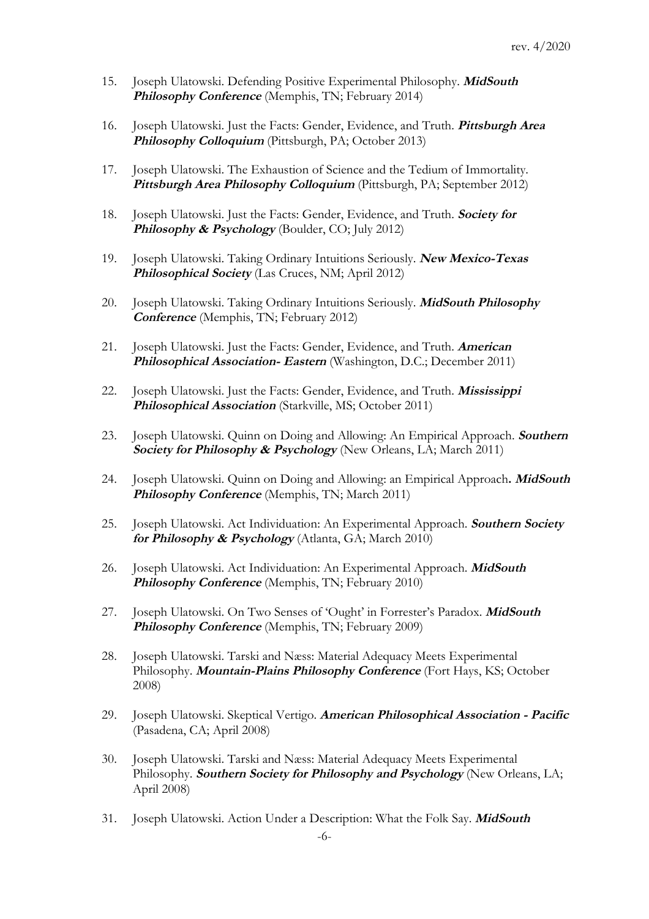- 15. Joseph Ulatowski. Defending Positive Experimental Philosophy. **MidSouth Philosophy Conference** (Memphis, TN; February 2014)
- 16. Joseph Ulatowski. Just the Facts: Gender, Evidence, and Truth. **Pittsburgh Area Philosophy Colloquium** (Pittsburgh, PA; October 2013)
- 17. Joseph Ulatowski. The Exhaustion of Science and the Tedium of Immortality. **Pittsburgh Area Philosophy Colloquium** (Pittsburgh, PA; September 2012)
- 18. Joseph Ulatowski. Just the Facts: Gender, Evidence, and Truth. **Society for Philosophy & Psychology** (Boulder, CO; July 2012)
- 19. Joseph Ulatowski. Taking Ordinary Intuitions Seriously. **New Mexico-Texas Philosophical Society** (Las Cruces, NM; April 2012)
- 20. Joseph Ulatowski. Taking Ordinary Intuitions Seriously. **MidSouth Philosophy Conference** (Memphis, TN; February 2012)
- 21. Joseph Ulatowski. Just the Facts: Gender, Evidence, and Truth. **American Philosophical Association- Eastern** (Washington, D.C.; December 2011)
- 22. Joseph Ulatowski. Just the Facts: Gender, Evidence, and Truth. **Mississippi Philosophical Association** (Starkville, MS; October 2011)
- 23. Joseph Ulatowski. Quinn on Doing and Allowing: An Empirical Approach. **Southern Society for Philosophy & Psychology** (New Orleans, LA; March 2011)
- 24. Joseph Ulatowski. Quinn on Doing and Allowing: an Empirical Approach**. MidSouth Philosophy Conference** (Memphis, TN; March 2011)
- 25. Joseph Ulatowski. Act Individuation: An Experimental Approach. **Southern Society for Philosophy & Psychology** (Atlanta, GA; March 2010)
- 26. Joseph Ulatowski. Act Individuation: An Experimental Approach. **MidSouth Philosophy Conference** (Memphis, TN; February 2010)
- 27. Joseph Ulatowski. On Two Senses of 'Ought' in Forrester's Paradox. **MidSouth Philosophy Conference** (Memphis, TN; February 2009)
- 28. Joseph Ulatowski. Tarski and Næss: Material Adequacy Meets Experimental Philosophy. **Mountain-Plains Philosophy Conference** (Fort Hays, KS; October 2008)
- 29. Joseph Ulatowski. Skeptical Vertigo. **American Philosophical Association - Pacific**  (Pasadena, CA; April 2008)
- 30. Joseph Ulatowski. Tarski and Næss: Material Adequacy Meets Experimental Philosophy. **Southern Society for Philosophy and Psychology** (New Orleans, LA; April 2008)
- 31. Joseph Ulatowski. Action Under a Description: What the Folk Say. **MidSouth**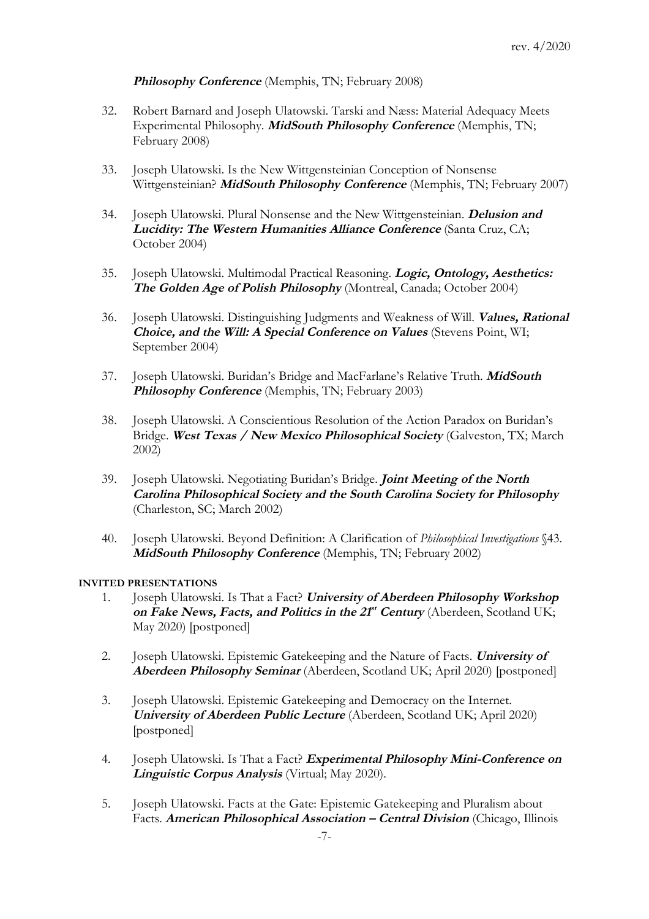# **Philosophy Conference** (Memphis, TN; February 2008)

- 32. Robert Barnard and Joseph Ulatowski. Tarski and Næss: Material Adequacy Meets Experimental Philosophy. **MidSouth Philosophy Conference** (Memphis, TN; February 2008)
- 33. Joseph Ulatowski. Is the New Wittgensteinian Conception of Nonsense Wittgensteinian? **MidSouth Philosophy Conference** (Memphis, TN; February 2007)
- 34. Joseph Ulatowski. Plural Nonsense and the New Wittgensteinian. **Delusion and Lucidity: The Western Humanities Alliance Conference** (Santa Cruz, CA; October 2004)
- 35. Joseph Ulatowski. Multimodal Practical Reasoning. **Logic, Ontology, Aesthetics: The Golden Age of Polish Philosophy** (Montreal, Canada; October 2004)
- 36. Joseph Ulatowski. Distinguishing Judgments and Weakness of Will. **Values, Rational Choice, and the Will: A Special Conference on Values** (Stevens Point, WI; September 2004)
- 37. Joseph Ulatowski. Buridan's Bridge and MacFarlane's Relative Truth. **MidSouth Philosophy Conference** (Memphis, TN; February 2003)
- 38. Joseph Ulatowski. A Conscientious Resolution of the Action Paradox on Buridan's Bridge. **West Texas / New Mexico Philosophical Society** (Galveston, TX; March 2002)
- 39. Joseph Ulatowski. Negotiating Buridan's Bridge. **Joint Meeting of the North Carolina Philosophical Society and the South Carolina Society for Philosophy** (Charleston, SC; March 2002)
- 40. Joseph Ulatowski. Beyond Definition: A Clarification of *Philosophical Investigations* §43. **MidSouth Philosophy Conference** (Memphis, TN; February 2002)

# **INVITED PRESENTATIONS**

- 1. Joseph Ulatowski. Is That a Fact? **University of Aberdeen Philosophy Workshop**  on Fake News, Facts, and Politics in the 21<sup>st</sup> Century (Aberdeen, Scotland UK; May 2020) [postponed]
- 2. Joseph Ulatowski. Epistemic Gatekeeping and the Nature of Facts. **University of Aberdeen Philosophy Seminar** (Aberdeen, Scotland UK; April 2020) [postponed]
- 3. Joseph Ulatowski. Epistemic Gatekeeping and Democracy on the Internet. **University of Aberdeen Public Lecture** (Aberdeen, Scotland UK; April 2020) [postponed]
- 4. Joseph Ulatowski. Is That a Fact? **Experimental Philosophy Mini-Conference on Linguistic Corpus Analysis** (Virtual; May 2020).
- 5. Joseph Ulatowski. Facts at the Gate: Epistemic Gatekeeping and Pluralism about Facts. **American Philosophical Association – Central Division** (Chicago, Illinois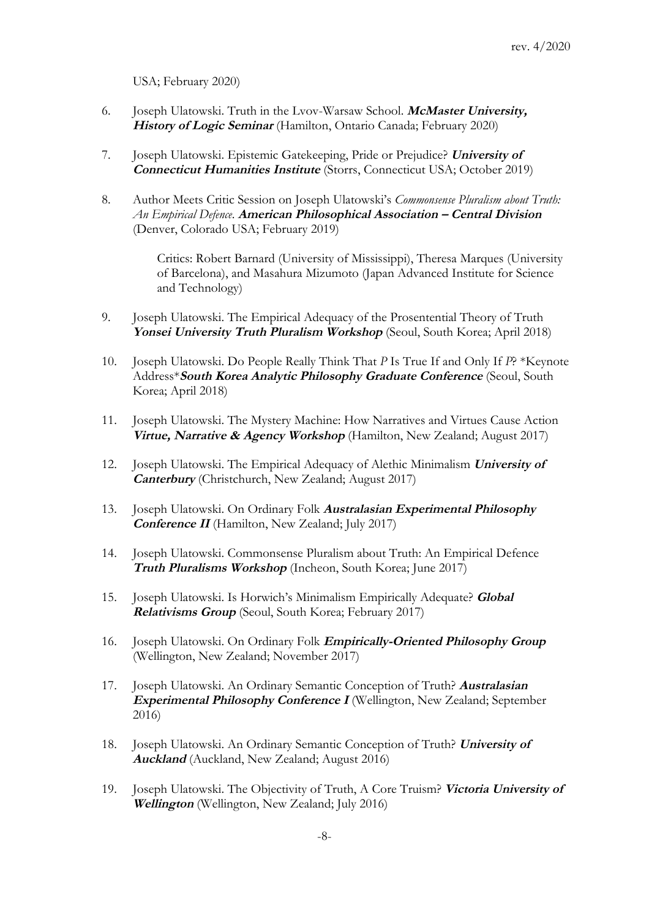USA; February 2020)

- 6. Joseph Ulatowski. Truth in the Lvov-Warsaw School. **McMaster University, History of Logic Seminar** (Hamilton, Ontario Canada; February 2020)
- 7. Joseph Ulatowski. Epistemic Gatekeeping, Pride or Prejudice? **University of Connecticut Humanities Institute** (Storrs, Connecticut USA; October 2019)
- 8. Author Meets Critic Session on Joseph Ulatowski's *Commonsense Pluralism about Truth: An Empirical Defence*. **American Philosophical Association – Central Division**  (Denver, Colorado USA; February 2019)

Critics: Robert Barnard (University of Mississippi), Theresa Marques (University of Barcelona), and Masahura Mizumoto (Japan Advanced Institute for Science and Technology)

- 9. Joseph Ulatowski. The Empirical Adequacy of the Prosentential Theory of Truth Yonsei University Truth Pluralism Workshop (Seoul, South Korea; April 2018)
- 10. Joseph Ulatowski. Do People Really Think That *P* Is True If and Only If *P*? \*Keynote Address\***South Korea Analytic Philosophy Graduate Conference** (Seoul, South Korea; April 2018)
- 11. Joseph Ulatowski. The Mystery Machine: How Narratives and Virtues Cause Action **Virtue, Narrative & Agency Workshop** (Hamilton, New Zealand; August 2017)
- 12. Joseph Ulatowski. The Empirical Adequacy of Alethic Minimalism **University of Canterbury** (Christchurch, New Zealand; August 2017)
- 13. Joseph Ulatowski. On Ordinary Folk **Australasian Experimental Philosophy Conference II** (Hamilton, New Zealand; July 2017)
- 14. Joseph Ulatowski. Commonsense Pluralism about Truth: An Empirical Defence **Truth Pluralisms Workshop** (Incheon, South Korea; June 2017)
- 15. Joseph Ulatowski. Is Horwich's Minimalism Empirically Adequate? **Global Relativisms Group** (Seoul, South Korea; February 2017)
- 16. Joseph Ulatowski. On Ordinary Folk **Empirically-Oriented Philosophy Group** (Wellington, New Zealand; November 2017)
- 17. Joseph Ulatowski. An Ordinary Semantic Conception of Truth? **Australasian Experimental Philosophy Conference I** (Wellington, New Zealand; September 2016)
- 18. Joseph Ulatowski. An Ordinary Semantic Conception of Truth? **University of Auckland** (Auckland, New Zealand; August 2016)
- 19. Joseph Ulatowski. The Objectivity of Truth, A Core Truism? **Victoria University of Wellington** (Wellington, New Zealand; July 2016)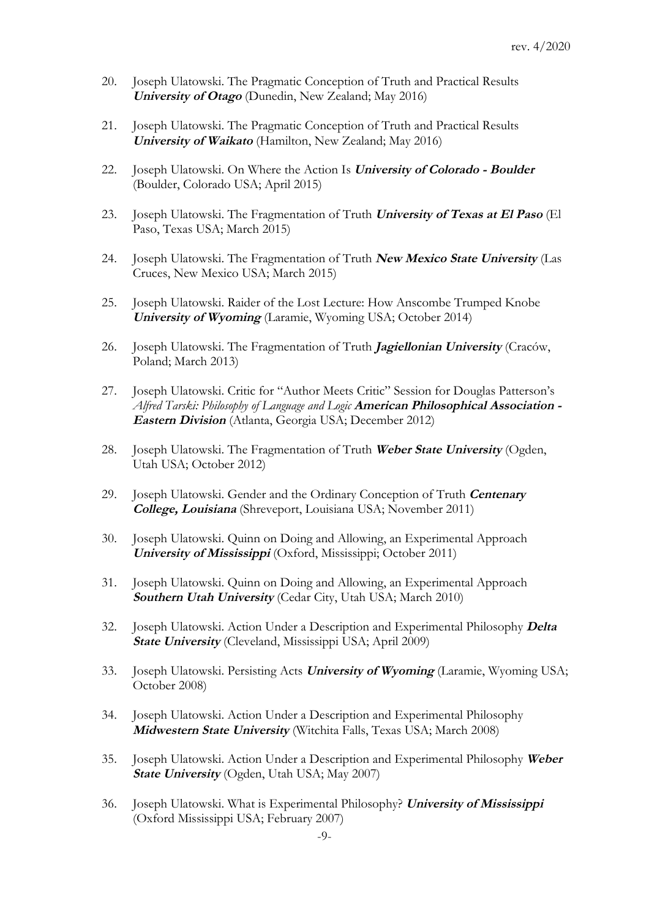- 20. Joseph Ulatowski. The Pragmatic Conception of Truth and Practical Results **University of Otago** (Dunedin, New Zealand; May 2016)
- 21. Joseph Ulatowski. The Pragmatic Conception of Truth and Practical Results **University of Waikato** (Hamilton, New Zealand; May 2016)
- 22. Joseph Ulatowski. On Where the Action Is **University of Colorado - Boulder**  (Boulder, Colorado USA; April 2015)
- 23. Joseph Ulatowski. The Fragmentation of Truth **University of Texas at El Paso** (El Paso, Texas USA; March 2015)
- 24. Joseph Ulatowski. The Fragmentation of Truth **New Mexico State University** (Las Cruces, New Mexico USA; March 2015)
- 25. Joseph Ulatowski. Raider of the Lost Lecture: How Anscombe Trumped Knobe **University of Wyoming** (Laramie, Wyoming USA; October 2014)
- 26. Joseph Ulatowski. The Fragmentation of Truth **Jagiellonian University** (Craców, Poland; March 2013)
- 27. Joseph Ulatowski. Critic for "Author Meets Critic" Session for Douglas Patterson's *Alfred Tarski: Philosophy of Language and Logic* **American Philosophical Association - Eastern Division** (Atlanta, Georgia USA; December 2012)
- 28. Joseph Ulatowski. The Fragmentation of Truth **Weber State University** (Ogden, Utah USA; October 2012)
- 29. Joseph Ulatowski. Gender and the Ordinary Conception of Truth **Centenary College, Louisiana** (Shreveport, Louisiana USA; November 2011)
- 30. Joseph Ulatowski. Quinn on Doing and Allowing, an Experimental Approach **University of Mississippi** (Oxford, Mississippi; October 2011)
- 31. Joseph Ulatowski. Quinn on Doing and Allowing, an Experimental Approach **Southern Utah University** (Cedar City, Utah USA; March 2010)
- 32. Joseph Ulatowski. Action Under a Description and Experimental Philosophy **Delta State University** (Cleveland, Mississippi USA; April 2009)
- 33. Joseph Ulatowski. Persisting Acts **University of Wyoming** (Laramie, Wyoming USA; October 2008)
- 34. Joseph Ulatowski. Action Under a Description and Experimental Philosophy **Midwestern State University** (Witchita Falls, Texas USA; March 2008)
- 35. Joseph Ulatowski. Action Under a Description and Experimental Philosophy **Weber State University** (Ogden, Utah USA; May 2007)
- 36. Joseph Ulatowski. What is Experimental Philosophy? **University of Mississippi**  (Oxford Mississippi USA; February 2007)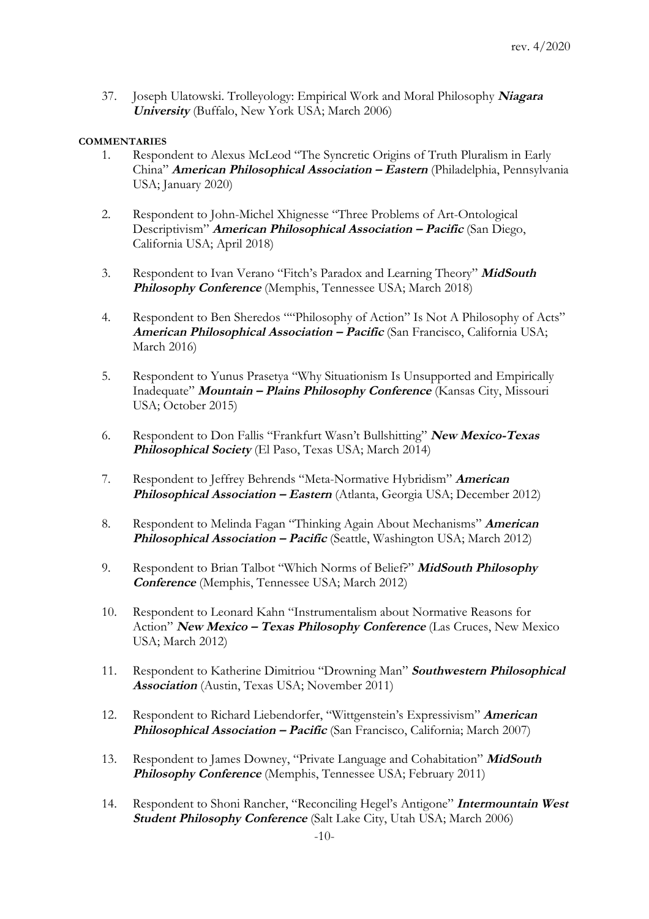37. Joseph Ulatowski. Trolleyology: Empirical Work and Moral Philosophy **Niagara University** (Buffalo, New York USA; March 2006)

# **COMMENTARIES**

- 1. Respondent to Alexus McLeod "The Syncretic Origins of Truth Pluralism in Early China" **American Philosophical Association – Eastern** (Philadelphia, Pennsylvania USA; January 2020)
- 2. Respondent to John-Michel Xhignesse "Three Problems of Art-Ontological Descriptivism" **American Philosophical Association – Pacific** (San Diego, California USA; April 2018)
- 3. Respondent to Ivan Verano "Fitch's Paradox and Learning Theory" **MidSouth Philosophy Conference** (Memphis, Tennessee USA; March 2018)
- 4. Respondent to Ben Sheredos ""Philosophy of Action" Is Not A Philosophy of Acts" **American Philosophical Association – Pacific** (San Francisco, California USA; March 2016)
- 5. Respondent to Yunus Prasetya "Why Situationism Is Unsupported and Empirically Inadequate" **Mountain – Plains Philosophy Conference** (Kansas City, Missouri USA; October 2015)
- 6. Respondent to Don Fallis "Frankfurt Wasn't Bullshitting" **New Mexico-Texas Philosophical Society** (El Paso, Texas USA; March 2014)
- 7. Respondent to Jeffrey Behrends "Meta-Normative Hybridism" **American Philosophical Association – Eastern** (Atlanta, Georgia USA; December 2012)
- 8. Respondent to Melinda Fagan "Thinking Again About Mechanisms" **American Philosophical Association – Pacific** (Seattle, Washington USA; March 2012)
- 9. Respondent to Brian Talbot "Which Norms of Belief?" **MidSouth Philosophy Conference** (Memphis, Tennessee USA; March 2012)
- 10. Respondent to Leonard Kahn "Instrumentalism about Normative Reasons for Action" **New Mexico – Texas Philosophy Conference** (Las Cruces, New Mexico USA; March 2012)
- 11. Respondent to Katherine Dimitriou "Drowning Man" **Southwestern Philosophical Association** (Austin, Texas USA; November 2011)
- 12. Respondent to Richard Liebendorfer, "Wittgenstein's Expressivism" **American Philosophical Association – Pacific** (San Francisco, California; March 2007)
- 13. Respondent to James Downey, "Private Language and Cohabitation" **MidSouth Philosophy Conference** (Memphis, Tennessee USA; February 2011)
- 14. Respondent to Shoni Rancher, "Reconciling Hegel's Antigone" **Intermountain West Student Philosophy Conference** (Salt Lake City, Utah USA; March 2006)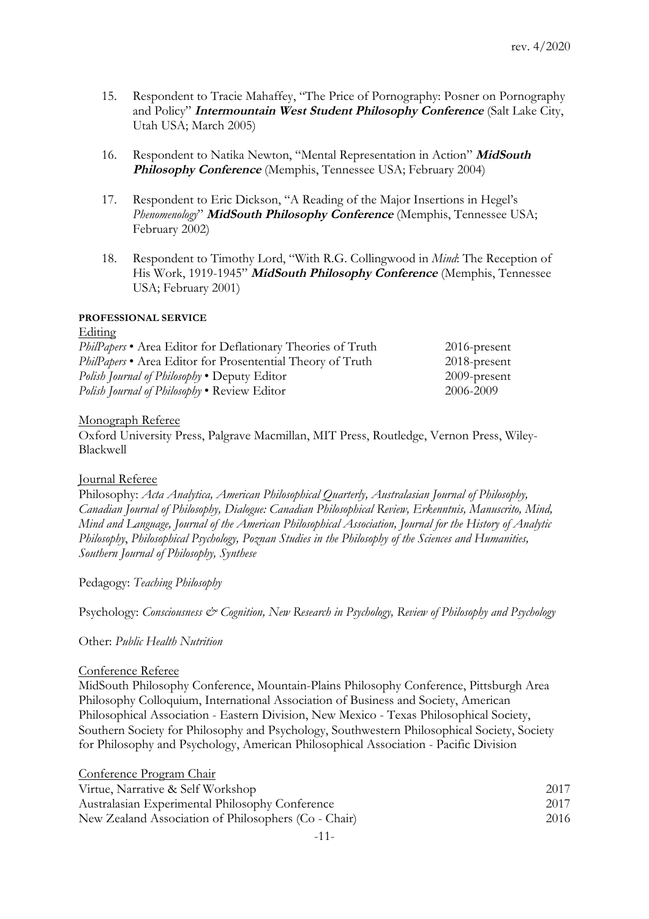- 15. Respondent to Tracie Mahaffey, "The Price of Pornography: Posner on Pornography and Policy" **Intermountain West Student Philosophy Conference** (Salt Lake City, Utah USA; March 2005)
- 16. Respondent to Natika Newton, "Mental Representation in Action" **MidSouth Philosophy Conference** (Memphis, Tennessee USA; February 2004)
- 17. Respondent to Eric Dickson, "A Reading of the Major Insertions in Hegel's *Phenomenology*" **MidSouth Philosophy Conference** (Memphis, Tennessee USA; February 2002)
- 18. Respondent to Timothy Lord, "With R.G. Collingwood in *Mind*: The Reception of His Work, 1919-1945" **MidSouth Philosophy Conference** (Memphis, Tennessee USA; February 2001)

## **PROFESSIONAL SERVICE**

Editing

| PhilPapers • Area Editor for Deflationary Theories of Truth       | $2016$ -present |
|-------------------------------------------------------------------|-----------------|
| <i>PhilPapers</i> • Area Editor for Prosentential Theory of Truth | $2018$ -present |
| Polish Journal of Philosophy • Deputy Editor                      | $2009$ -present |
| <i>Polish Journal of Philosophy</i> • Review Editor               | 2006-2009       |

## Monograph Referee

Oxford University Press, Palgrave Macmillan, MIT Press, Routledge, Vernon Press, Wiley-Blackwell

# Journal Referee

Philosophy: *Acta Analytica, American Philosophical Quarterly, Australasian Journal of Philosophy, Canadian Journal of Philosophy, Dialogue: Canadian Philosophical Review, Erkenntnis, Manuscrito, Mind, Mind and Language, Journal of the American Philosophical Association, Journal for the History of Analytic Philosophy*, *Philosophical Psychology, Poznan Studies in the Philosophy of the Sciences and Humanities, Southern Journal of Philosophy, Synthese*

Pedagogy: *Teaching Philosophy*

Psychology: *Consciousness & Cognition, New Research in Psychology, Review of Philosophy and Psychology*

Other: *Public Health Nutrition*

### Conference Referee

MidSouth Philosophy Conference, Mountain-Plains Philosophy Conference, Pittsburgh Area Philosophy Colloquium, International Association of Business and Society, American Philosophical Association - Eastern Division, New Mexico - Texas Philosophical Society, Southern Society for Philosophy and Psychology, Southwestern Philosophical Society, Society for Philosophy and Psychology, American Philosophical Association - Pacific Division

| Conference Program Chair                             |      |
|------------------------------------------------------|------|
| Virtue, Narrative & Self Workshop                    | 2017 |
| Australasian Experimental Philosophy Conference      | 2017 |
| New Zealand Association of Philosophers (Co - Chair) | 2016 |
|                                                      |      |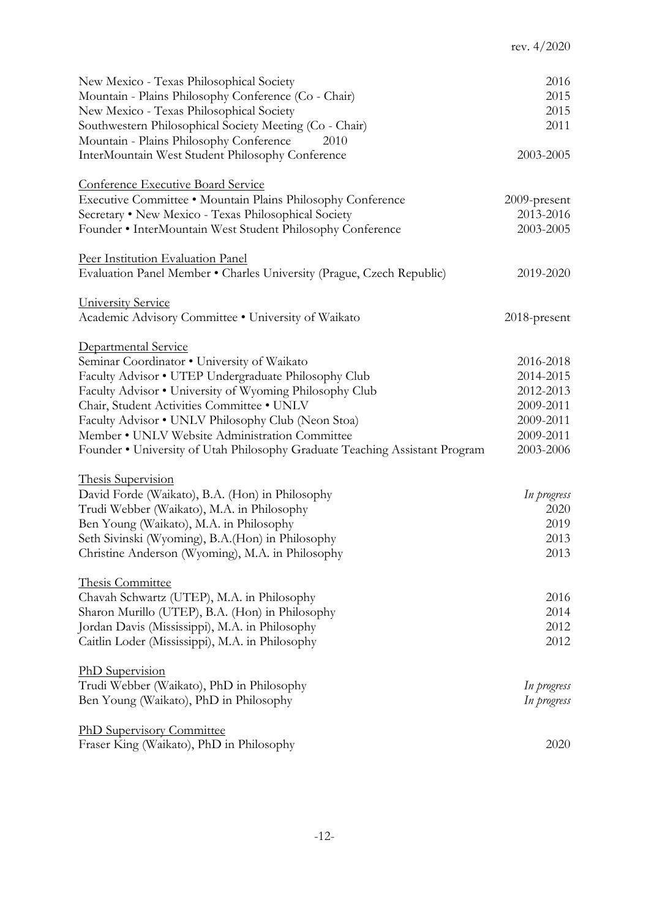| New Mexico - Texas Philosophical Society                                    | 2016                |
|-----------------------------------------------------------------------------|---------------------|
| Mountain - Plains Philosophy Conference (Co - Chair)                        | 2015                |
| New Mexico - Texas Philosophical Society                                    | 2015                |
| Southwestern Philosophical Society Meeting (Co - Chair)                     | 2011                |
| Mountain - Plains Philosophy Conference<br>2010                             |                     |
| InterMountain West Student Philosophy Conference                            | 2003-2005           |
|                                                                             |                     |
| <b>Conference Executive Board Service</b>                                   |                     |
| Executive Committee . Mountain Plains Philosophy Conference                 | 2009-present        |
| Secretary . New Mexico - Texas Philosophical Society                        | 2013-2016           |
| Founder • InterMountain West Student Philosophy Conference                  | 2003-2005           |
|                                                                             |                     |
| Peer Institution Evaluation Panel                                           |                     |
| Evaluation Panel Member • Charles University (Prague, Czech Republic)       | 2019-2020           |
|                                                                             |                     |
| University Service                                                          |                     |
| Academic Advisory Committee . University of Waikato                         | 2018-present        |
|                                                                             |                     |
| Departmental Service                                                        |                     |
| Seminar Coordinator . University of Waikato                                 | 2016-2018           |
| Faculty Advisor • UTEP Undergraduate Philosophy Club                        | 2014-2015           |
| Faculty Advisor . University of Wyoming Philosophy Club                     | 2012-2013           |
| Chair, Student Activities Committee . UNLV                                  | 2009-2011           |
| Faculty Advisor • UNLV Philosophy Club (Neon Stoa)                          | 2009-2011           |
| Member • UNLV Website Administration Committee                              | 2009-2011           |
|                                                                             | 2003-2006           |
| Founder . University of Utah Philosophy Graduate Teaching Assistant Program |                     |
| Thesis Supervision                                                          |                     |
|                                                                             |                     |
| David Forde (Waikato), B.A. (Hon) in Philosophy                             | In progress<br>2020 |
| Trudi Webber (Waikato), M.A. in Philosophy                                  |                     |
| Ben Young (Waikato), M.A. in Philosophy                                     | 2019                |
| Seth Sivinski (Wyoming), B.A. (Hon) in Philosophy                           | 2013                |
| Christine Anderson (Wyoming), M.A. in Philosophy                            | 2013                |
|                                                                             |                     |
| Thesis Committee                                                            |                     |
| Chavah Schwartz (UTEP), M.A. in Philosophy                                  | 2016                |
| Sharon Murillo (UTEP), B.A. (Hon) in Philosophy                             | 2014                |
| Jordan Davis (Mississippi), M.A. in Philosophy                              | 2012                |
| Caitlin Loder (Mississippi), M.A. in Philosophy                             | 2012                |
|                                                                             |                     |
| PhD Supervision                                                             |                     |
| Trudi Webber (Waikato), PhD in Philosophy                                   | In progress         |
| Ben Young (Waikato), PhD in Philosophy                                      | In progress         |
|                                                                             |                     |
| <b>PhD Supervisory Committee</b>                                            |                     |
| Fraser King (Waikato), PhD in Philosophy                                    | 2020                |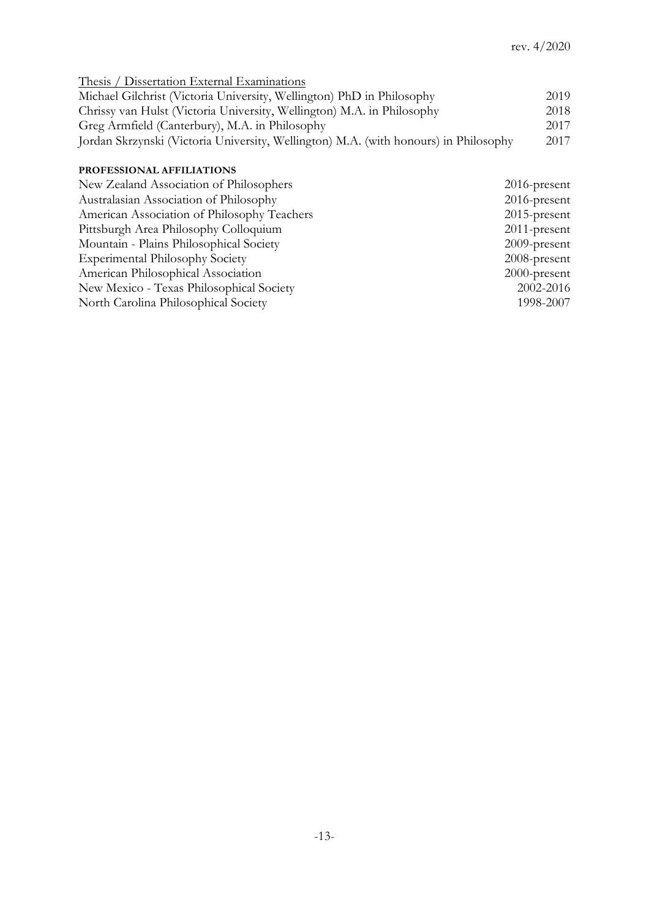| 2019 |
|------|
| 2018 |
| 2017 |
| 2017 |
|      |

# **PROFESSIONAL AFFILIATIONS**

| New Zealand Association of Philosophers     | $2016$ -present |
|---------------------------------------------|-----------------|
| Australasian Association of Philosophy      | $2016$ -present |
| American Association of Philosophy Teachers | $2015$ -present |
| Pittsburgh Area Philosophy Colloquium       | $2011$ -present |
| Mountain - Plains Philosophical Society     | $2009$ -present |
| <b>Experimental Philosophy Society</b>      | 2008-present    |
| American Philosophical Association          | $2000$ -present |
| New Mexico - Texas Philosophical Society    | 2002-2016       |
| North Carolina Philosophical Society        | 1998-2007       |
|                                             |                 |